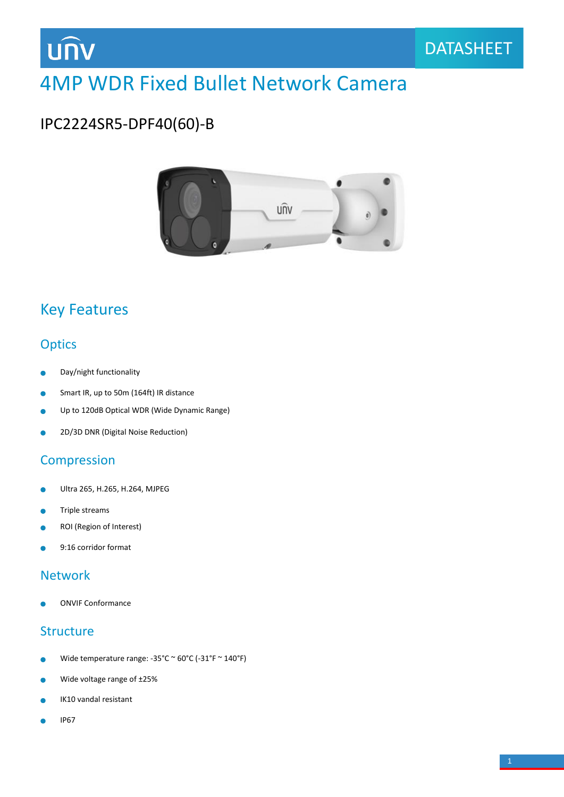

# 4MP WDR Fixed Bullet Network Camera

# IPC2224SR5-DPF40(60)-B



### Key Features

#### **Optics**

- Day/night functionality  $\bullet$
- Smart IR, up to 50m (164ft) IR distance Ŏ
- Up to 120dB Optical WDR (Wide Dynamic Range) ä
- 2D/3D DNR (Digital Noise Reduction) ò

#### Compression

- Ultra 265, H.265, H.264, MJPEG  $\bullet$
- Triple streams  $\bullet$
- ROI (Region of Interest) ٠
- 9:16 corridor format è

#### Network

ONVIF Conformance

#### **Structure**

- Wide temperature range: -35°C ~ 60°C (-31°F ~ 140°F) Ċ
- Wide voltage range of ±25%  $\bullet$
- IK10 vandal resistant Ċ
- IP67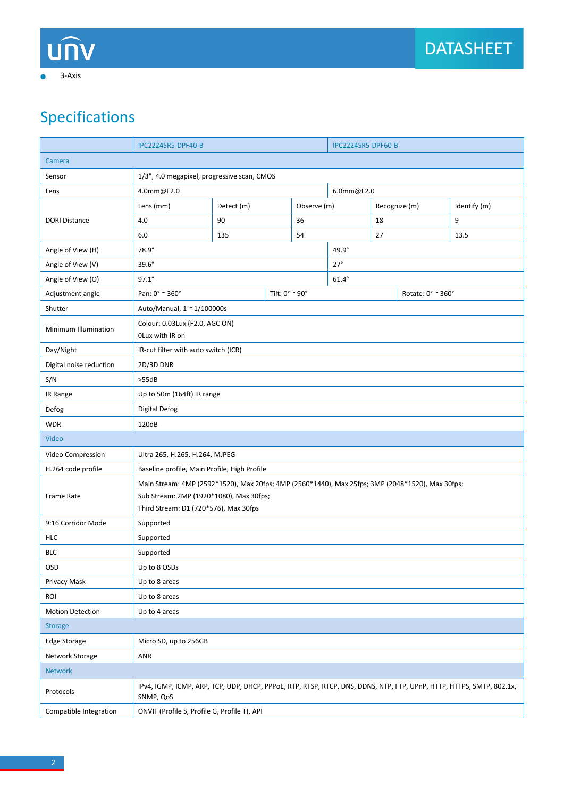ä

# Specifications

|                         | IPC2224SR5-DPF40-B                                                                                                                                                                   |                         |  | IPC2224SR5-DPF60-B |              |               |                   |              |  |
|-------------------------|--------------------------------------------------------------------------------------------------------------------------------------------------------------------------------------|-------------------------|--|--------------------|--------------|---------------|-------------------|--------------|--|
| Camera                  |                                                                                                                                                                                      |                         |  |                    |              |               |                   |              |  |
| Sensor                  | 1/3", 4.0 megapixel, progressive scan, CMOS                                                                                                                                          |                         |  |                    |              |               |                   |              |  |
| Lens                    | 4.0mm@F2.0                                                                                                                                                                           |                         |  |                    | 6.0mm@F2.0   |               |                   |              |  |
| <b>DORI Distance</b>    | Lens (mm)                                                                                                                                                                            | Detect (m)              |  | Observe (m)        |              | Recognize (m) |                   | Identify (m) |  |
|                         | 4.0                                                                                                                                                                                  | 90                      |  | 36                 |              | 18            |                   | 9            |  |
|                         | 6.0                                                                                                                                                                                  | 135                     |  | 54                 | 27           |               |                   | 13.5         |  |
| Angle of View (H)       | $78.9^\circ$                                                                                                                                                                         |                         |  |                    | $49.9^\circ$ |               |                   |              |  |
| Angle of View (V)       | $39.6^\circ$                                                                                                                                                                         |                         |  |                    | $27^\circ$   |               |                   |              |  |
| Angle of View (O)       | $97.1^{\circ}$                                                                                                                                                                       |                         |  |                    | $61.4^\circ$ |               |                   |              |  |
| Adjustment angle        | Pan: 0° ~ 360°                                                                                                                                                                       | Tilt: $0^{\circ}$ ~ 90° |  |                    |              |               | Rotate: 0° ~ 360° |              |  |
| Shutter                 | Auto/Manual, $1 \approx 1/100000$ s                                                                                                                                                  |                         |  |                    |              |               |                   |              |  |
| Minimum Illumination    | Colour: 0.03Lux (F2.0, AGC ON)<br>OLux with IR on                                                                                                                                    |                         |  |                    |              |               |                   |              |  |
| Day/Night               | IR-cut filter with auto switch (ICR)                                                                                                                                                 |                         |  |                    |              |               |                   |              |  |
| Digital noise reduction | 2D/3D DNR                                                                                                                                                                            |                         |  |                    |              |               |                   |              |  |
| S/N                     | >55dB                                                                                                                                                                                |                         |  |                    |              |               |                   |              |  |
| IR Range                | Up to 50m (164ft) IR range                                                                                                                                                           |                         |  |                    |              |               |                   |              |  |
| Defog                   | Digital Defog                                                                                                                                                                        |                         |  |                    |              |               |                   |              |  |
| <b>WDR</b>              | 120dB                                                                                                                                                                                |                         |  |                    |              |               |                   |              |  |
| Video                   |                                                                                                                                                                                      |                         |  |                    |              |               |                   |              |  |
| Video Compression       | Ultra 265, H.265, H.264, MJPEG                                                                                                                                                       |                         |  |                    |              |               |                   |              |  |
| H.264 code profile      | Baseline profile, Main Profile, High Profile                                                                                                                                         |                         |  |                    |              |               |                   |              |  |
| Frame Rate              | Main Stream: 4MP (2592*1520), Max 20fps; 4MP (2560*1440), Max 25fps; 3MP (2048*1520), Max 30fps;<br>Sub Stream: 2MP (1920*1080), Max 30fps;<br>Third Stream: D1 (720*576), Max 30fps |                         |  |                    |              |               |                   |              |  |
| 9:16 Corridor Mode      | Supported                                                                                                                                                                            |                         |  |                    |              |               |                   |              |  |
| <b>HLC</b>              | Supported                                                                                                                                                                            |                         |  |                    |              |               |                   |              |  |
| <b>BLC</b>              | Supported                                                                                                                                                                            |                         |  |                    |              |               |                   |              |  |
| OSD                     | Up to 8 OSDs                                                                                                                                                                         |                         |  |                    |              |               |                   |              |  |
| Privacy Mask            | Up to 8 areas                                                                                                                                                                        |                         |  |                    |              |               |                   |              |  |
| ROI                     | Up to 8 areas                                                                                                                                                                        |                         |  |                    |              |               |                   |              |  |
| <b>Motion Detection</b> | Up to 4 areas                                                                                                                                                                        |                         |  |                    |              |               |                   |              |  |
| <b>Storage</b>          |                                                                                                                                                                                      |                         |  |                    |              |               |                   |              |  |
| <b>Edge Storage</b>     | Micro SD, up to 256GB                                                                                                                                                                |                         |  |                    |              |               |                   |              |  |
| Network Storage         | ANR                                                                                                                                                                                  |                         |  |                    |              |               |                   |              |  |
| <b>Network</b>          |                                                                                                                                                                                      |                         |  |                    |              |               |                   |              |  |
| Protocols               | IPv4, IGMP, ICMP, ARP, TCP, UDP, DHCP, PPPoE, RTP, RTSP, RTCP, DNS, DDNS, NTP, FTP, UPnP, HTTP, HTTPS, SMTP, 802.1x,<br>SNMP, QoS                                                    |                         |  |                    |              |               |                   |              |  |
| Compatible Integration  | ONVIF (Profile S, Profile G, Profile T), API                                                                                                                                         |                         |  |                    |              |               |                   |              |  |
|                         |                                                                                                                                                                                      |                         |  |                    |              |               |                   |              |  |